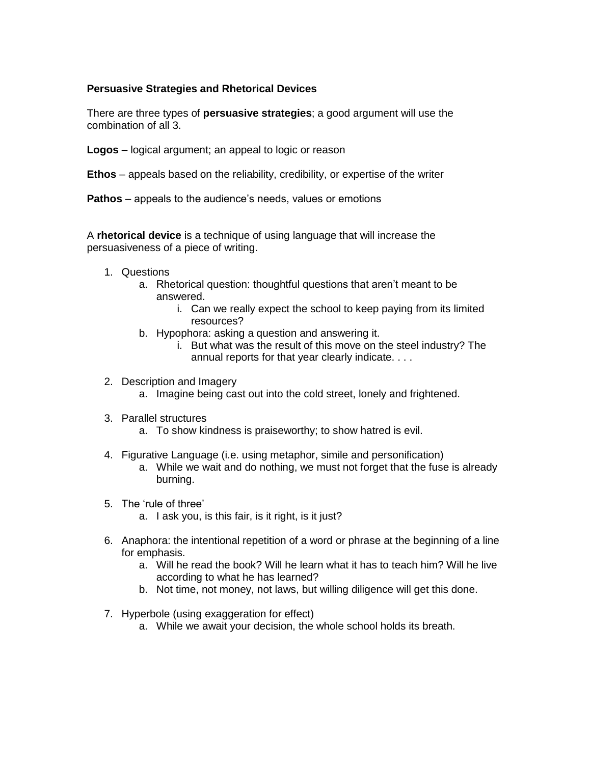#### **Persuasive Strategies and Rhetorical Devices**

There are three types of **persuasive strategies**; a good argument will use the combination of all 3.

**Logos** – logical argument; an appeal to logic or reason

**Ethos** – appeals based on the reliability, credibility, or expertise of the writer

**Pathos** – appeals to the audience's needs, values or emotions

A **rhetorical device** is a technique of using language that will increase the persuasiveness of a piece of writing.

- 1. Questions
	- a. Rhetorical question: thoughtful questions that aren't meant to be answered.
		- i. Can we really expect the school to keep paying from its limited resources?
	- b. Hypophora: asking a question and answering it.
		- i. But what was the result of this move on the steel industry? The annual reports for that year clearly indicate. . . .
- 2. Description and Imagery
	- a. Imagine being cast out into the cold street, lonely and frightened.
- 3. Parallel structures
	- a. To show kindness is praiseworthy; to show hatred is evil.
- 4. Figurative Language (i.e. using metaphor, simile and personification)
	- a. While we wait and do nothing, we must not forget that the fuse is already burning.
- 5. The 'rule of three'
	- a. I ask you, is this fair, is it right, is it just?
- 6. Anaphora: the intentional repetition of a word or phrase at the beginning of a line for emphasis.
	- a. Will he read the book? Will he learn what it has to teach him? Will he live according to what he has learned?
	- b. Not time, not money, not laws, but willing diligence will get this done.
- 7. Hyperbole (using exaggeration for effect)
	- a. While we await your decision, the whole school holds its breath.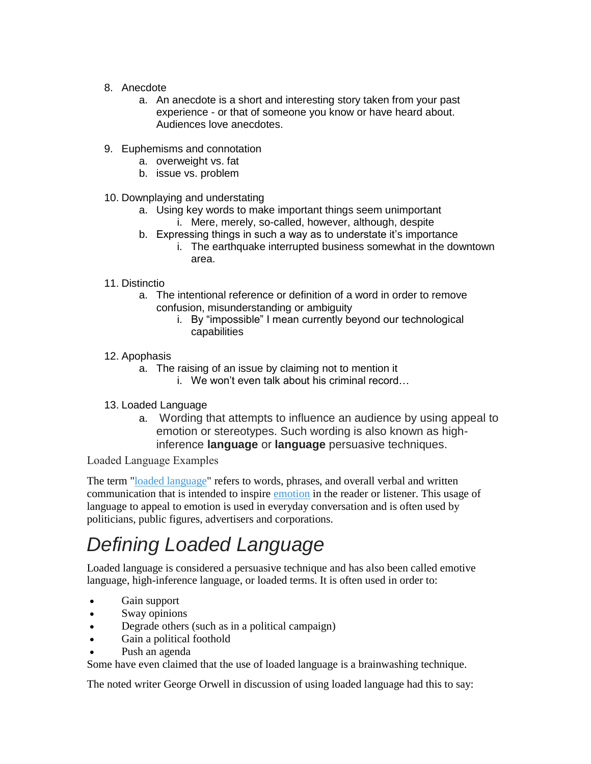- 8. Anecdote
	- a. An anecdote is a short and interesting story taken from your past experience - or that of someone you know or have heard about. Audiences love anecdotes.
- 9. Euphemisms and connotation
	- a. overweight vs. fat
	- b. issue vs. problem
- 10. Downplaying and understating
	- a. Using key words to make important things seem unimportant i. Mere, merely, so-called, however, although, despite
	- b. Expressing things in such a way as to understate it's importance
		- i. The earthquake interrupted business somewhat in the downtown area.
- 11. Distinctio
	- a. The intentional reference or definition of a word in order to remove confusion, misunderstanding or ambiguity
		- i. By "impossible" I mean currently beyond our technological capabilities
- 12. Apophasis
	- a. The raising of an issue by claiming not to mention it
		- i. We won't even talk about his criminal record…
- 13. Loaded Language
	- a. Wording that attempts to influence an audience by using appeal to emotion or stereotypes. Such wording is also known as highinference **language** or **language** persuasive techniques.

Loaded Language Examples

The term ["loaded language"](http://www.yourdictionary.com/loaded-language) refers to words, phrases, and overall verbal and written communication that is intended to inspire [emotion](http://www.yourdictionary.com/emotion) in the reader or listener. This usage of language to appeal to emotion is used in everyday conversation and is often used by politicians, public figures, advertisers and corporations.

# *Defining Loaded Language*

Loaded language is considered a persuasive technique and has also been called emotive language, high-inference language, or loaded terms. It is often used in order to:

- Gain support
- Sway opinions
- Degrade others (such as in a political campaign)
- Gain a political foothold
- Push an agenda

Some have even claimed that the use of loaded language is a brainwashing technique.

The noted writer George Orwell in discussion of using loaded language had this to say: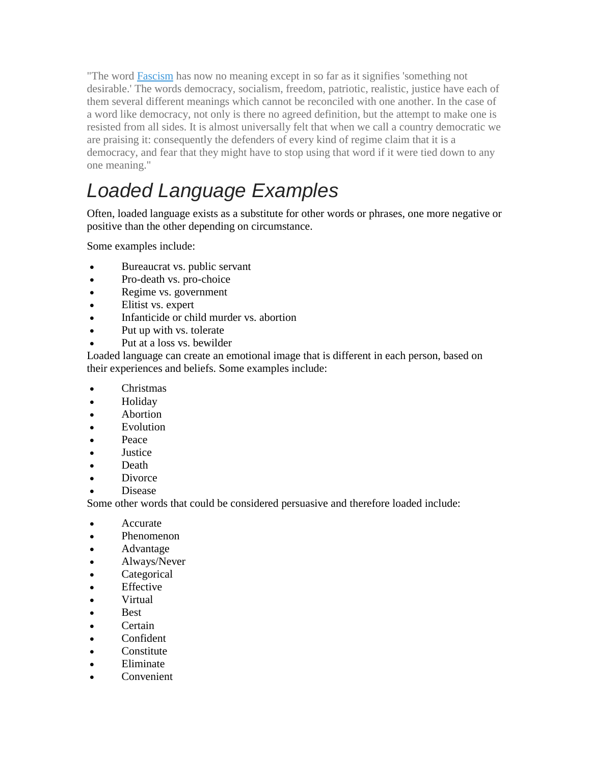"The word [Fascism](http://www.yourdictionary.com/Fascism) has now no meaning except in so far as it signifies 'something not desirable.' The words democracy, socialism, freedom, patriotic, realistic, justice have each of them several different meanings which cannot be reconciled with one another. In the case of a word like democracy, not only is there no agreed definition, but the attempt to make one is resisted from all sides. It is almost universally felt that when we call a country democratic we are praising it: consequently the defenders of every kind of regime claim that it is a democracy, and fear that they might have to stop using that word if it were tied down to any one meaning."

# *Loaded Language Examples*

Often, loaded language exists as a substitute for other words or phrases, one more negative or positive than the other depending on circumstance.

Some examples include:

- Bureaucrat vs. public servant
- Pro-death vs. pro-choice
- Regime vs. government
- Elitist vs. expert
- Infanticide or child murder vs. abortion
- Put up with vs. tolerate
- Put at a loss vs. bewilder

Loaded language can create an emotional image that is different in each person, based on their experiences and beliefs. Some examples include:

- Christmas
- Holiday
- **Abortion**
- Evolution
- Peace
- Justice
- Death
- Divorce
- Disease

Some other words that could be considered persuasive and therefore loaded include:

- Accurate
- Phenomenon
- Advantage
- Always/Never
- Categorical
- Effective
- Virtual
- Best
- Certain
- Confident
- Constitute
- Eliminate
- Convenient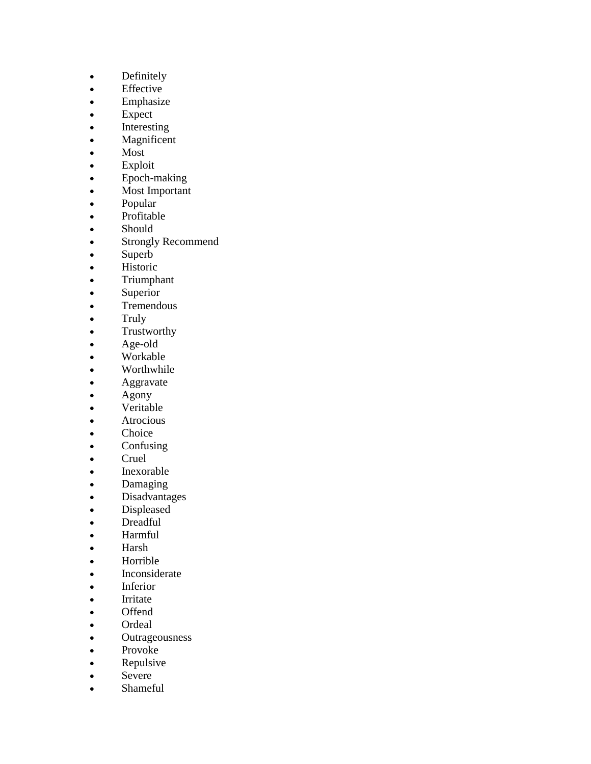- Definitely
- Effective
- Emphasize
- Expect
- Interesting
- Magnificent
- Most
- Exploit
- Epoch-making
- Most Important
- Popular
- Profitable
- Should
- Strongly Recommend
- Superb
- Historic
- Triumphant
- Superior
- Tremendous
- Truly
- Trustworthy
- Age-old
- Workable
- Worthwhile
- **Aggravate**
- Agony
- Veritable
- Atrocious
- Choice
- Confusing
- Cruel
- Inexorable
- Damaging
- Disadvantages
- Displeased
- Dreadful
- Harmful
- Harsh
- Horrible
- Inconsiderate
- Inferior
- Irritate
- Offend
- Ordeal
- Outrageousness
- Provoke
- Repulsive
- Severe
- Shameful